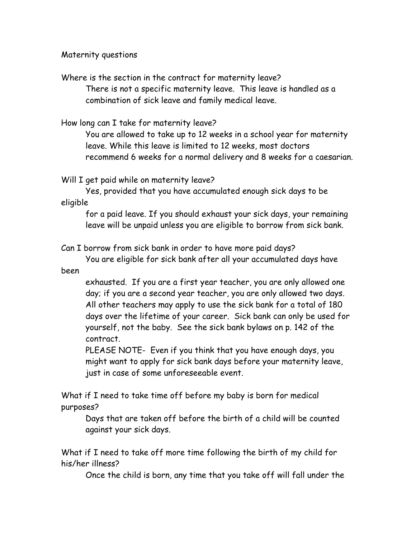Maternity questions

Where is the section in the contract for maternity leave? There is not a specific maternity leave. This leave is handled as a combination of sick leave and family medical leave.

How long can I take for maternity leave?

You are allowed to take up to 12 weeks in a school year for maternity leave. While this leave is limited to 12 weeks, most doctors recommend 6 weeks for a normal delivery and 8 weeks for a caesarian.

Will I get paid while on maternity leave?

Yes, provided that you have accumulated enough sick days to be eligible

for a paid leave. If you should exhaust your sick days, your remaining leave will be unpaid unless you are eligible to borrow from sick bank.

Can I borrow from sick bank in order to have more paid days?

You are eligible for sick bank after all your accumulated days have been

exhausted. If you are a first year teacher, you are only allowed one day; if you are a second year teacher, you are only allowed two days. All other teachers may apply to use the sick bank for a total of 180 days over the lifetime of your career. Sick bank can only be used for yourself, not the baby. See the sick bank bylaws on p. 142 of the contract.

PLEASE NOTE- Even if you think that you have enough days, you might want to apply for sick bank days before your maternity leave, just in case of some unforeseeable event.

What if I need to take time off before my baby is born for medical purposes?

Days that are taken off before the birth of a child will be counted against your sick days.

What if I need to take off more time following the birth of my child for his/her illness?

Once the child is born, any time that you take off will fall under the